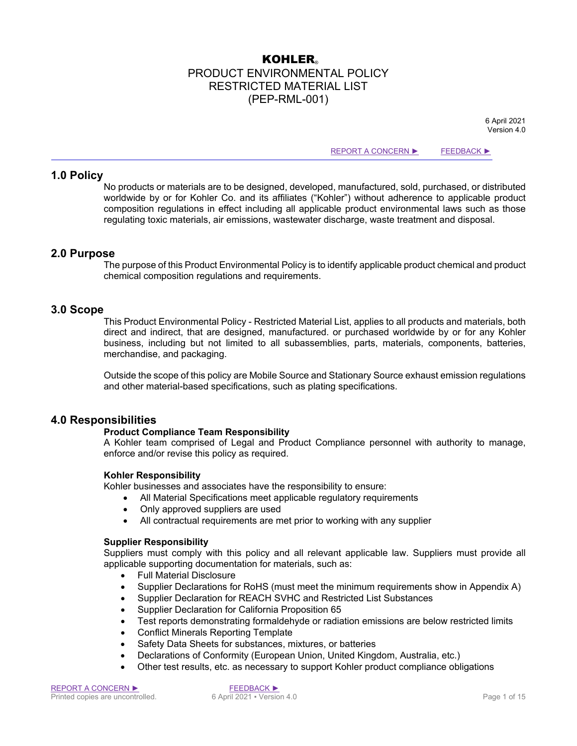6 April 2021 Version 4.0

[REPORT A CONCERN ►](https://mykohler.sharepoint.com/ethics/Pages/EthicsHelplineRedirect.aspx) [FEEDBACK](mailto:ComplianceFeedback@Kohler.Com?subject=Feedback%20on%20Environmental%20Policy) ►

### **1.0 Policy**

No products or materials are to be designed, developed, manufactured, sold, purchased, or distributed worldwide by or for Kohler Co. and its affiliates ("Kohler") without adherence to applicable product composition regulations in effect including all applicable product environmental laws such as those regulating toxic materials, air emissions, wastewater discharge, waste treatment and disposal.

### **2.0 Purpose**

The purpose of this Product Environmental Policy is to identify applicable product chemical and product chemical composition regulations and requirements.

### **3.0 Scope**

This Product Environmental Policy - Restricted Material List, applies to all products and materials, both direct and indirect, that are designed, manufactured. or purchased worldwide by or for any Kohler business, including but not limited to all subassemblies, parts, materials, components, batteries, merchandise, and packaging.

Outside the scope of this policy are Mobile Source and Stationary Source exhaust emission regulations and other material-based specifications, such as plating specifications.

## **4.0 Responsibilities**

#### **Product Compliance Team Responsibility**

A Kohler team comprised of Legal and Product Compliance personnel with authority to manage, enforce and/or revise this policy as required.

#### **Kohler Responsibility**

Kohler businesses and associates have the responsibility to ensure:

- All Material Specifications meet applicable regulatory requirements
- Only approved suppliers are used
- All contractual requirements are met prior to working with any supplier

#### **Supplier Responsibility**

Suppliers must comply with this policy and all relevant applicable law. Suppliers must provide all applicable supporting documentation for materials, such as:

- Full Material Disclosure
- Supplier Declarations for RoHS (must meet the minimum requirements show in Appendix A)
- Supplier Declaration for REACH SVHC and Restricted List Substances
- Supplier Declaration for California Proposition 65
- Test reports demonstrating formaldehyde or radiation emissions are below restricted limits
- Conflict Minerals Reporting Template
- Safety Data Sheets for substances, mixtures, or batteries
- Declarations of Conformity (European Union, United Kingdom, Australia, etc.)
- Other test results, etc. as necessary to support Kohler product compliance obligations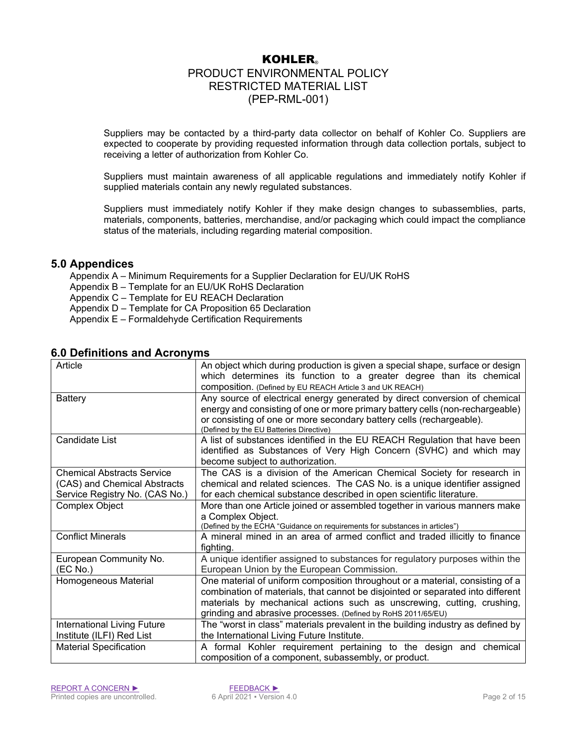## PRODUCT ENVIRONMENTAL POLICY RESTRICTED MATERIAL LIST (PEP-RML-001)

Suppliers may be contacted by a third-party data collector on behalf of Kohler Co. Suppliers are expected to cooperate by providing requested information through data collection portals, subject to receiving a letter of authorization from Kohler Co.

Suppliers must maintain awareness of all applicable regulations and immediately notify Kohler if supplied materials contain any newly regulated substances.

Suppliers must immediately notify Kohler if they make design changes to subassemblies, parts, materials, components, batteries, merchandise, and/or packaging which could impact the compliance status of the materials, including regarding material composition.

## **5.0 Appendices**

Appendix A – Minimum Requirements for a Supplier Declaration for EU/UK RoHS

Appendix B – Template for an EU/UK RoHS Declaration

Appendix C – Template for EU REACH Declaration

Appendix D – Template for CA Proposition 65 Declaration

Appendix E – Formaldehyde Certification Requirements

| 0.0 Deminuons and Actonyms        |                                                                                                                                                      |
|-----------------------------------|------------------------------------------------------------------------------------------------------------------------------------------------------|
| Article                           | An object which during production is given a special shape, surface or design<br>which determines its function to a greater degree than its chemical |
|                                   | composition. (Defined by EU REACH Article 3 and UK REACH)                                                                                            |
| <b>Battery</b>                    | Any source of electrical energy generated by direct conversion of chemical                                                                           |
|                                   | energy and consisting of one or more primary battery cells (non-rechargeable)                                                                        |
|                                   | or consisting of one or more secondary battery cells (rechargeable).                                                                                 |
|                                   | (Defined by the EU Batteries Directive)                                                                                                              |
| Candidate List                    | A list of substances identified in the EU REACH Regulation that have been                                                                            |
|                                   | identified as Substances of Very High Concern (SVHC) and which may                                                                                   |
|                                   | become subject to authorization.                                                                                                                     |
| <b>Chemical Abstracts Service</b> | The CAS is a division of the American Chemical Society for research in                                                                               |
| (CAS) and Chemical Abstracts      | chemical and related sciences. The CAS No. is a unique identifier assigned                                                                           |
| Service Registry No. (CAS No.)    | for each chemical substance described in open scientific literature.                                                                                 |
| Complex Object                    | More than one Article joined or assembled together in various manners make                                                                           |
|                                   | a Complex Object.                                                                                                                                    |
|                                   | (Defined by the ECHA "Guidance on requirements for substances in articles")                                                                          |
| <b>Conflict Minerals</b>          | A mineral mined in an area of armed conflict and traded illicitly to finance                                                                         |
|                                   | fighting.                                                                                                                                            |
| European Community No.            | A unique identifier assigned to substances for regulatory purposes within the                                                                        |
| (EC No.)                          | European Union by the European Commission.                                                                                                           |
| Homogeneous Material              | One material of uniform composition throughout or a material, consisting of a                                                                        |
|                                   | combination of materials, that cannot be disjointed or separated into different                                                                      |
|                                   | materials by mechanical actions such as unscrewing, cutting, crushing,                                                                               |
|                                   | grinding and abrasive processes. (Defined by RoHS 2011/65/EU)                                                                                        |
| International Living Future       | The "worst in class" materials prevalent in the building industry as defined by                                                                      |
| Institute (ILFI) Red List         | the International Living Future Institute.                                                                                                           |
| <b>Material Specification</b>     | A formal Kohler requirement pertaining to the design and chemical                                                                                    |
|                                   | composition of a component, subassembly, or product.                                                                                                 |

## **6.0 Definitions and Acronyms**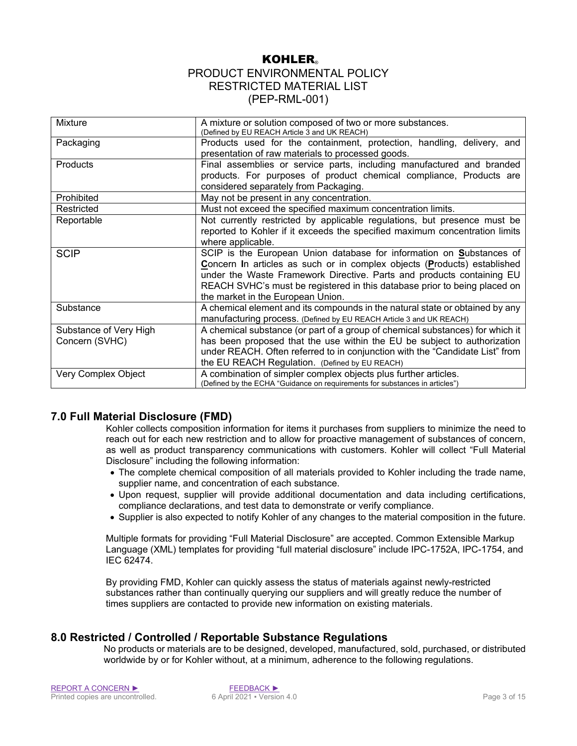| <b>Mixture</b>                           | A mixture or solution composed of two or more substances.<br>(Defined by EU REACH Article 3 and UK REACH)                                                                                                                                                                                                                                   |  |  |
|------------------------------------------|---------------------------------------------------------------------------------------------------------------------------------------------------------------------------------------------------------------------------------------------------------------------------------------------------------------------------------------------|--|--|
| Packaging                                | Products used for the containment, protection, handling, delivery, and<br>presentation of raw materials to processed goods.                                                                                                                                                                                                                 |  |  |
| Products                                 | Final assemblies or service parts, including manufactured and branded<br>products. For purposes of product chemical compliance, Products are<br>considered separately from Packaging.                                                                                                                                                       |  |  |
| Prohibited                               | May not be present in any concentration.                                                                                                                                                                                                                                                                                                    |  |  |
| Restricted                               | Must not exceed the specified maximum concentration limits.                                                                                                                                                                                                                                                                                 |  |  |
| Reportable                               | Not currently restricted by applicable regulations, but presence must be<br>reported to Kohler if it exceeds the specified maximum concentration limits<br>where applicable.                                                                                                                                                                |  |  |
| <b>SCIP</b>                              | SCIP is the European Union database for information on Substances of<br>Concern In articles as such or in complex objects (Products) established<br>under the Waste Framework Directive. Parts and products containing EU<br>REACH SVHC's must be registered in this database prior to being placed on<br>the market in the European Union. |  |  |
| Substance                                | A chemical element and its compounds in the natural state or obtained by any<br>manufacturing process. (Defined by EU REACH Article 3 and UK REACH)                                                                                                                                                                                         |  |  |
| Substance of Very High<br>Concern (SVHC) | A chemical substance (or part of a group of chemical substances) for which it<br>has been proposed that the use within the EU be subject to authorization<br>under REACH. Often referred to in conjunction with the "Candidate List" from<br>the EU REACH Regulation. (Defined by EU REACH)                                                 |  |  |
| Very Complex Object                      | A combination of simpler complex objects plus further articles.<br>(Defined by the ECHA "Guidance on requirements for substances in articles")                                                                                                                                                                                              |  |  |

## **7.0 Full Material Disclosure (FMD)**

Kohler collects composition information for items it purchases from suppliers to minimize the need to reach out for each new restriction and to allow for proactive management of substances of concern, as well as product transparency communications with customers. Kohler will collect "Full Material Disclosure" including the following information:

- The complete chemical composition of all materials provided to Kohler including the trade name, supplier name, and concentration of each substance.
- Upon request, supplier will provide additional documentation and data including certifications, compliance declarations, and test data to demonstrate or verify compliance.
- Supplier is also expected to notify Kohler of any changes to the material composition in the future.

Multiple formats for providing "Full Material Disclosure" are accepted. Common Extensible Markup Language (XML) templates for providing "full material disclosure" include IPC-1752A, IPC-1754, and IEC 62474.

By providing FMD, Kohler can quickly assess the status of materials against newly-restricted substances rather than continually querying our suppliers and will greatly reduce the number of times suppliers are contacted to provide new information on existing materials.

## **8.0 Restricted / Controlled / Reportable Substance Regulations**

No products or materials are to be designed, developed, manufactured, sold, purchased, or distributed worldwide by or for Kohler without, at a minimum, adherence to the following regulations.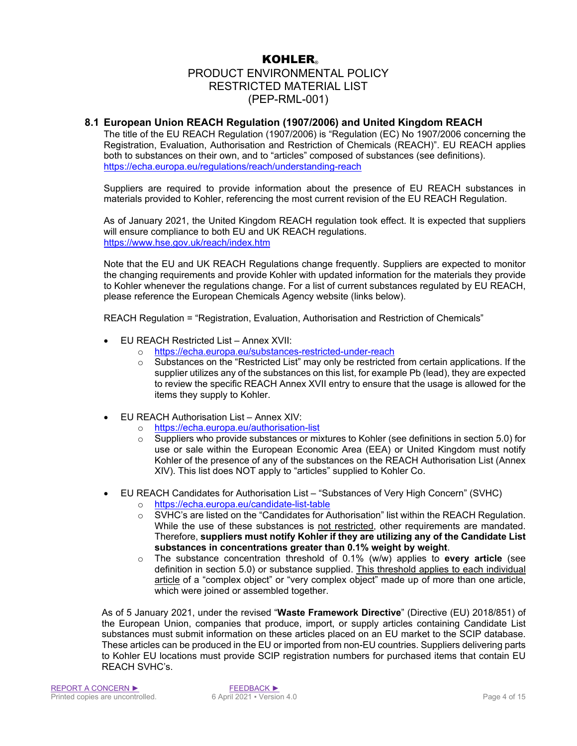# PRODUCT ENVIRONMENTAL POLICY RESTRICTED MATERIAL LIST (PEP-RML-001)

#### **8.1 European Union REACH Regulation (1907/2006) and United Kingdom REACH**

The title of the EU REACH Regulation (1907/2006) is "Regulation (EC) No 1907/2006 concerning the Registration, Evaluation, Authorisation and Restriction of Chemicals (REACH)". EU REACH applies both to substances on their own, and to "articles" composed of substances (see definitions). <https://echa.europa.eu/regulations/reach/understanding-reach>

Suppliers are required to provide information about the presence of EU REACH substances in materials provided to Kohler, referencing the most current revision of the EU REACH Regulation.

As of January 2021, the United Kingdom REACH regulation took effect. It is expected that suppliers will ensure compliance to both EU and UK REACH regulations. <https://www.hse.gov.uk/reach/index.htm>

Note that the EU and UK REACH Regulations change frequently. Suppliers are expected to monitor the changing requirements and provide Kohler with updated information for the materials they provide to Kohler whenever the regulations change. For a list of current substances regulated by EU REACH, please reference the European Chemicals Agency website (links below).

REACH Regulation = "Registration, Evaluation, Authorisation and Restriction of Chemicals"

- EU REACH Restricted List Annex XVII:
	- o <https://echa.europa.eu/substances-restricted-under-reach><br>
	Substances on the "Restricted List" may only be restricted
	- Substances on the "Restricted List" may only be restricted from certain applications. If the supplier utilizes any of the substances on this list, for example Pb (lead), they are expected to review the specific REACH Annex XVII entry to ensure that the usage is allowed for the items they supply to Kohler.
- EU REACH Authorisation List Annex XIV:
	- o <https://echa.europa.eu/authorisation-list><br>Suppliers who provide substances or mi
	- Suppliers who provide substances or mixtures to Kohler (see definitions in section 5.0) for use or sale within the European Economic Area (EEA) or United Kingdom must notify Kohler of the presence of any of the substances on the REACH Authorisation List (Annex XIV). This list does NOT apply to "articles" supplied to Kohler Co.
- EU REACH Candidates for Authorisation List "Substances of Very High Concern" (SVHC)
	- o <https://echa.europa.eu/candidate-list-table>
		- o SVHC's are listed on the "Candidates for Authorisation" list within the REACH Regulation. While the use of these substances is not restricted, other requirements are mandated. Therefore, **suppliers must notify Kohler if they are utilizing any of the Candidate List**  substances in concentrations greater than 0.1% weight by weight.
		- o The substance concentration threshold of 0.1% (w/w) applies to **every article** (see definition in section 5.0) or substance supplied. This threshold applies to each individual article of a "complex object" or "very complex object" made up of more than one article, which were joined or assembled together.

As of 5 January 2021, under the revised "**Waste Framework Directive**" (Directive (EU) 2018/851) of the European Union, companies that produce, import, or supply articles containing Candidate List substances must submit information on these articles placed on an EU market to the SCIP database. These articles can be produced in the EU or imported from non-EU countries. Suppliers delivering parts to Kohler EU locations must provide SCIP registration numbers for purchased items that contain EU REACH SVHC's.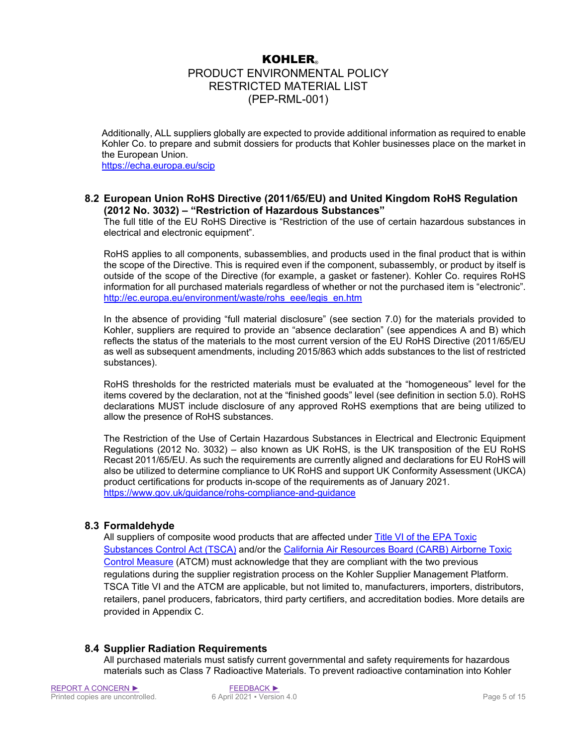# PRODUCT ENVIRONMENTAL POLICY RESTRICTED MATERIAL LIST (PEP-RML-001)

Additionally, ALL suppliers globally are expected to provide additional information as required to enable Kohler Co. to prepare and submit dossiers for products that Kohler businesses place on the market in the European Union.

<https://echa.europa.eu/scip>

### **8.2 European Union RoHS Directive (2011/65/EU) and United Kingdom RoHS Regulation (2012 No. 3032) – "Restriction of Hazardous Substances"**

The full title of the EU RoHS Directive is "Restriction of the use of certain hazardous substances in electrical and electronic equipment".

RoHS applies to all components, subassemblies, and products used in the final product that is within the scope of the Directive. This is required even if the component, subassembly, or product by itself is outside of the scope of the Directive (for example, a gasket or fastener). Kohler Co. requires RoHS information for all purchased materials regardless of whether or not the purchased item is "electronic". [http://ec.europa.eu/environment/waste/rohs\\_eee/legis\\_en.htm](http://ec.europa.eu/environment/waste/rohs_eee/legis_en.htm)

In the absence of providing "full material disclosure" (see section 7.0) for the materials provided to Kohler, suppliers are required to provide an "absence declaration" (see appendices A and B) which reflects the status of the materials to the most current version of the EU RoHS Directive (2011/65/EU as well as subsequent amendments, including 2015/863 which adds substances to the list of restricted substances).

RoHS thresholds for the restricted materials must be evaluated at the "homogeneous" level for the items covered by the declaration, not at the "finished goods" level (see definition in section 5.0). RoHS declarations MUST include disclosure of any approved RoHS exemptions that are being utilized to allow the presence of RoHS substances.

The Restriction of the Use of Certain Hazardous Substances in Electrical and Electronic Equipment Regulations (2012 No. 3032) – also known as UK RoHS, is the UK transposition of the EU RoHS Recast 2011/65/EU. As such the requirements are currently aligned and declarations for EU RoHS will also be utilized to determine compliance to UK RoHS and support UK Conformity Assessment (UKCA) product certifications for products in-scope of the requirements as of January 2021. <https://www.gov.uk/guidance/rohs-compliance-and-guidance>

### **8.3 Formaldehyde**

All suppliers of composite wood products that are affected under [Title VI of the EPA Toxic](https://www.epa.gov/formaldehyde/formaldehyde-emission-standards-composite-wood-products)  [Substances Control Act \(TSCA\)](https://www.epa.gov/formaldehyde/formaldehyde-emission-standards-composite-wood-products) and/or the [California Air Resources Board \(CARB\) Airborne Toxic](https://ww2.arb.ca.gov/our-work/programs/composite-wood-products-program)  [Control Measure](https://ww2.arb.ca.gov/our-work/programs/composite-wood-products-program) (ATCM) must acknowledge that they are compliant with the two previous regulations during the supplier registration process on the Kohler Supplier Management Platform. TSCA Title VI and the ATCM are applicable, but not limited to, manufacturers, importers, distributors, retailers, panel producers, fabricators, third party certifiers, and accreditation bodies. More details are provided in Appendix C.

### **8.4 Supplier Radiation Requirements**

All purchased materials must satisfy current governmental and safety requirements for hazardous materials such as Class 7 Radioactive Materials. To prevent radioactive contamination into Kohler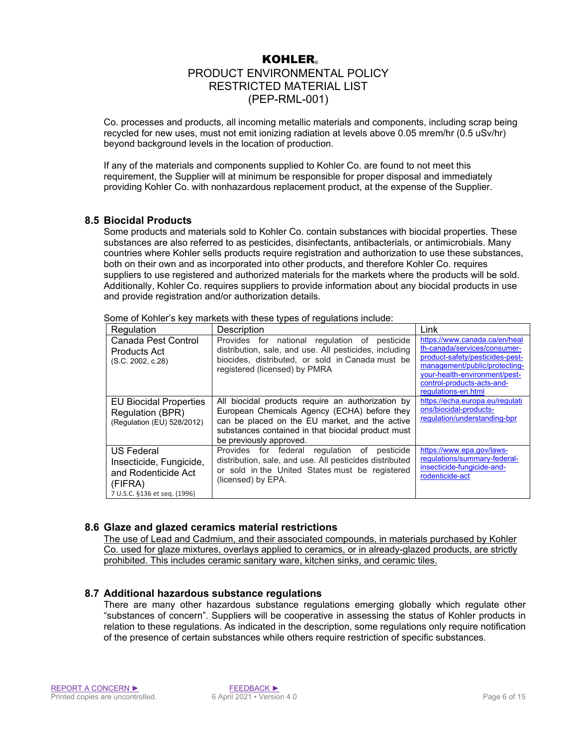Co. processes and products, all incoming metallic materials and components, including scrap being recycled for new uses, must not emit ionizing radiation at levels above 0.05 mrem/hr (0.5 uSv/hr) beyond background levels in the location of production.

If any of the materials and components supplied to Kohler Co. are found to not meet this requirement, the Supplier will at minimum be responsible for proper disposal and immediately providing Kohler Co. with nonhazardous replacement product, at the expense of the Supplier.

### **8.5 Biocidal Products**

Some products and materials sold to Kohler Co. contain substances with biocidal properties. These substances are also referred to as pesticides, disinfectants, antibacterials, or antimicrobials. Many countries where Kohler sells products require registration and authorization to use these substances, both on their own and as incorporated into other products, and therefore Kohler Co. requires suppliers to use registered and authorized materials for the markets where the products will be sold. Additionally, Kohler Co. requires suppliers to provide information about any biocidal products in use and provide registration and/or authorization details.

| Regulation                                                                                                     | Description                                                                                                                                                                                                                          | Link                                                                                                                                                                                                                    |
|----------------------------------------------------------------------------------------------------------------|--------------------------------------------------------------------------------------------------------------------------------------------------------------------------------------------------------------------------------------|-------------------------------------------------------------------------------------------------------------------------------------------------------------------------------------------------------------------------|
| Canada Pest Control<br><b>Products Act</b><br>(S.C. 2002, c.28)                                                | Provides for national regulation of pesticide<br>distribution, sale, and use. All pesticides, including<br>biocides, distributed, or sold in Canada must be<br>registered (licensed) by PMRA                                         | https://www.canada.ca/en/heal<br>th-canada/services/consumer-<br>product-safety/pesticides-pest-<br>management/public/protecting-<br>your-health-environment/pest-<br>control-products-acts-and-<br>regulations-en.html |
| <b>EU Biocidal Properties</b><br>Regulation (BPR)<br>(Regulation (EU) 528/2012)                                | All biocidal products require an authorization by<br>European Chemicals Agency (ECHA) before they<br>can be placed on the EU market, and the active<br>substances contained in that biocidal product must<br>be previously approved. | https://echa.europa.eu/regulati<br>ons/biocidal-products-<br>regulation/understanding-bpr                                                                                                                               |
| <b>US Federal</b><br>Insecticide, Fungicide,<br>and Rodenticide Act<br>(FIFRA)<br>7 U.S.C. §136 et seg. (1996) | Provides for federal<br>regulation of<br>pesticide<br>distribution, sale, and use. All pesticides distributed<br>or sold in the United States must be registered<br>(licensed) by EPA.                                               | https://www.epa.gov/laws-<br>regulations/summary-federal-<br>insecticide-fungicide-and-<br>rodenticide-act                                                                                                              |

Some of Kohler's key markets with these types of regulations include:

### **8.6 Glaze and glazed ceramics material restrictions**

The use of Lead and Cadmium, and their associated compounds, in materials purchased by Kohler Co. used for glaze mixtures, overlays applied to ceramics, or in already-glazed products, are strictly prohibited. This includes ceramic sanitary ware, kitchen sinks, and ceramic tiles.

### **8.7 Additional hazardous substance regulations**

There are many other hazardous substance regulations emerging globally which regulate other "substances of concern". Suppliers will be cooperative in assessing the status of Kohler products in relation to these regulations. As indicated in the description, some regulations only require notification of the presence of certain substances while others require restriction of specific substances.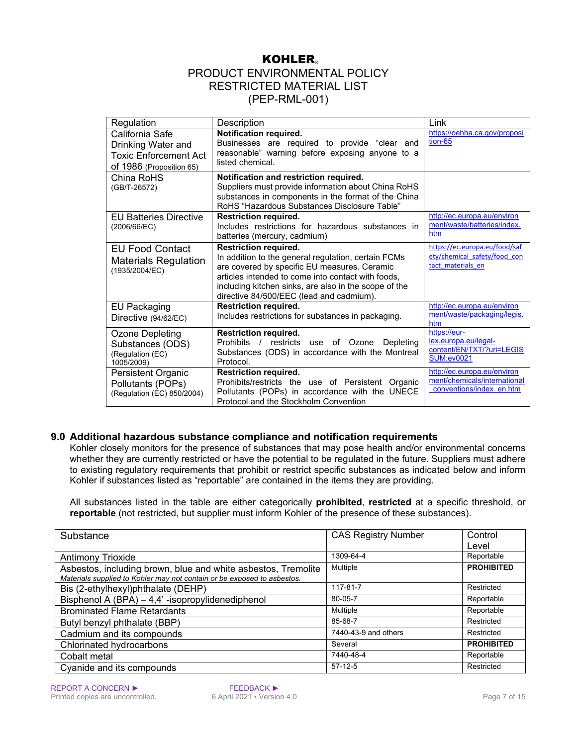# PRODUCT ENVIRONMENTAL POLICY RESTRICTED MATERIAL LIST (PEP-RML-001)

| Regulation                                                                                        | Description                                                                                                                                                                                                                                                                                    | Link                                                                                    |
|---------------------------------------------------------------------------------------------------|------------------------------------------------------------------------------------------------------------------------------------------------------------------------------------------------------------------------------------------------------------------------------------------------|-----------------------------------------------------------------------------------------|
| California Safe<br>Drinking Water and<br><b>Toxic Enforcement Act</b><br>of 1986 (Proposition 65) | Notification required.<br>Businesses are required to provide "clear and<br>reasonable" warning before exposing anyone to a<br>listed chemical.                                                                                                                                                 | https://oehha.ca.gov/proposi<br>tion-65                                                 |
| China RoHS<br>(GB/T-26572)                                                                        | Notification and restriction required.<br>Suppliers must provide information about China RoHS<br>substances in components in the format of the China<br>RoHS "Hazardous Substances Disclosure Table"                                                                                           |                                                                                         |
| <b>EU Batteries Directive</b><br>(2006/66/EC)                                                     | <b>Restriction required.</b><br>Includes restrictions for hazardous substances in<br>batteries (mercury, cadmium)                                                                                                                                                                              | http://ec.europa.eu/environ<br>ment/waste/batteries/index.<br>htm                       |
| <b>EU Food Contact</b><br><b>Materials Regulation</b><br>(1935/2004/EC)                           | <b>Restriction required.</b><br>In addition to the general regulation, certain FCMs<br>are covered by specific EU measures. Ceramic<br>articles intended to come into contact with foods,<br>including kitchen sinks, are also in the scope of the<br>directive 84/500/EEC (lead and cadmium). | https://ec.europa.eu/food/saf<br>ety/chemical safety/food con<br>tact materials en      |
| <b>EU Packaging</b><br>Directive (94/62/EC)                                                       | <b>Restriction required.</b><br>Includes restrictions for substances in packaging.                                                                                                                                                                                                             | http://ec.europa.eu/environ<br>ment/waste/packaging/legis.<br>htm                       |
| <b>Ozone Depleting</b><br>Substances (ODS)<br>(Regulation (EC)<br>1005/2009)                      | <b>Restriction required.</b><br>Prohibits / restricts<br>of Ozone<br>Depleting<br>use<br>Substances (ODS) in accordance with the Montreal<br>Protocol.                                                                                                                                         | https://eur-<br>lex.europa.eu/legal-<br>content/EN/TXT/?uri=LEGIS<br><b>SUM:ev0021</b>  |
| Persistent Organic<br>Pollutants (POPs)<br>(Regulation (EC) 850/2004)                             | <b>Restriction required.</b><br>Prohibits/restricts the use of Persistent<br>Organic<br>Pollutants (POPs) in accordance with the UNECE<br>Protocol and the Stockholm Convention                                                                                                                | http://ec.europa.eu/environ<br>ment/chemicals/international<br>conventions/index en.htm |

### **9.0 Additional hazardous substance compliance and notification requirements**

Kohler closely monitors for the presence of substances that may pose health and/or environmental concerns whether they are currently restricted or have the potential to be regulated in the future. Suppliers must adhere to existing regulatory requirements that prohibit or restrict specific substances as indicated below and inform Kohler if substances listed as "reportable" are contained in the items they are providing.

All substances listed in the table are either categorically **prohibited**, **restricted** at a specific threshold, or **reportable** (not restricted, but supplier must inform Kohler of the presence of these substances).

| Substance                                                               | <b>CAS Registry Number</b> | Control           |
|-------------------------------------------------------------------------|----------------------------|-------------------|
|                                                                         |                            | Level             |
| Antimony Trioxide                                                       | 1309-64-4                  | Reportable        |
| Asbestos, including brown, blue and white asbestos, Tremolite           | Multiple                   | <b>PROHIBITED</b> |
| Materials supplied to Kohler may not contain or be exposed to asbestos. |                            |                   |
| Bis (2-ethylhexyl)phthalate (DEHP)                                      | 117-81-7                   | Restricted        |
| Bisphenol A (BPA) - 4,4' -isopropylidenediphenol                        | 80-05-7                    | Reportable        |
| <b>Brominated Flame Retardants</b>                                      | Multiple                   | Reportable        |
| Butyl benzyl phthalate (BBP)                                            | 85-68-7                    | Restricted        |
| Cadmium and its compounds                                               | 7440-43-9 and others       | Restricted        |
| Chlorinated hydrocarbons                                                | Several                    | <b>PROHIBITED</b> |
| Cobalt metal                                                            | 7440-48-4                  | Reportable        |
| Cyanide and its compounds                                               | $57-12-5$                  | Restricted        |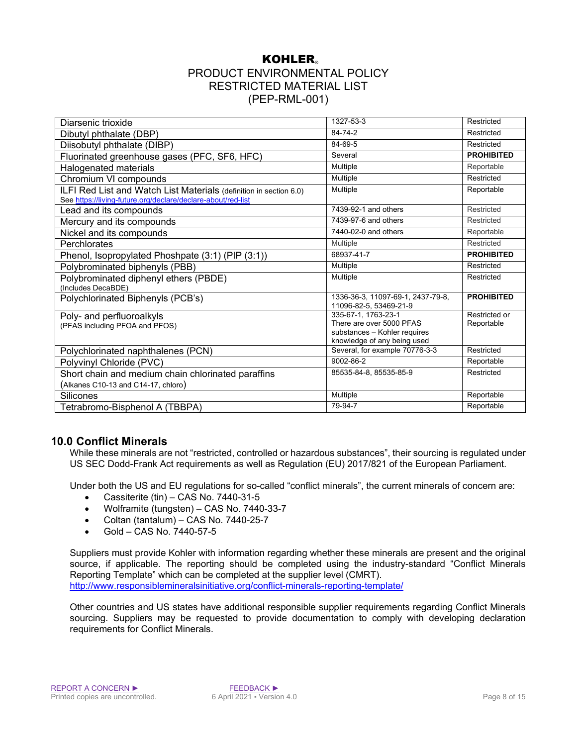# PRODUCT ENVIRONMENTAL POLICY RESTRICTED MATERIAL LIST (PEP-RML-001)

| Diarsenic trioxide                                                                                                                 | 1327-53-3                                                                                                      | Restricted                  |
|------------------------------------------------------------------------------------------------------------------------------------|----------------------------------------------------------------------------------------------------------------|-----------------------------|
| Dibutyl phthalate (DBP)                                                                                                            | 84-74-2                                                                                                        | Restricted                  |
| Diisobutyl phthalate (DIBP)                                                                                                        | 84-69-5                                                                                                        | Restricted                  |
| Fluorinated greenhouse gases (PFC, SF6, HFC)                                                                                       | Several                                                                                                        | <b>PROHIBITED</b>           |
| Halogenated materials                                                                                                              | Multiple                                                                                                       | Reportable                  |
| Chromium VI compounds                                                                                                              | Multiple                                                                                                       | Restricted                  |
| ILFI Red List and Watch List Materials (definition in section 6.0)<br>See https://living-future.org/declare/declare-about/red-list | Multiple                                                                                                       | Reportable                  |
| Lead and its compounds                                                                                                             | 7439-92-1 and others                                                                                           | Restricted                  |
| Mercury and its compounds                                                                                                          | 7439-97-6 and others                                                                                           | Restricted                  |
| Nickel and its compounds                                                                                                           | 7440-02-0 and others                                                                                           | Reportable                  |
| Perchlorates                                                                                                                       | Multiple                                                                                                       | Restricted                  |
| Phenol, Isopropylated Phoshpate (3:1) (PIP (3:1))                                                                                  | 68937-41-7                                                                                                     | <b>PROHIBITED</b>           |
| Polybrominated biphenyls (PBB)                                                                                                     | Multiple                                                                                                       | Restricted                  |
| Polybrominated diphenyl ethers (PBDE)<br>(Includes DecaBDE)                                                                        | Multiple                                                                                                       | Restricted                  |
| Polychlorinated Biphenyls (PCB's)                                                                                                  | 1336-36-3, 11097-69-1, 2437-79-8,<br>11096-82-5, 53469-21-9                                                    | <b>PROHIBITED</b>           |
| Poly- and perfluoroalkyls<br>(PFAS including PFOA and PFOS)                                                                        | 335-67-1, 1763-23-1<br>There are over 5000 PFAS<br>substances - Kohler requires<br>knowledge of any being used | Restricted or<br>Reportable |
| Polychlorinated naphthalenes (PCN)                                                                                                 | Several, for example 70776-3-3                                                                                 | Restricted                  |
| Polyvinyl Chloride (PVC)                                                                                                           | $9002 - 86 - 2$                                                                                                | Reportable                  |
| Short chain and medium chain chlorinated paraffins                                                                                 | 85535-84-8. 85535-85-9                                                                                         | Restricted                  |
| $(A$ Ikanes C10-13 and C14-17, chloro $)$                                                                                          |                                                                                                                |                             |
| Silicones                                                                                                                          | Multiple                                                                                                       | Reportable                  |
| Tetrabromo-Bisphenol A (TBBPA)                                                                                                     | 79-94-7                                                                                                        | Reportable                  |

## **10.0 Conflict Minerals**

While these minerals are not "restricted, controlled or hazardous substances", their sourcing is regulated under US SEC Dodd-Frank Act requirements as well as Regulation (EU) 2017/821 of the European Parliament.

Under both the US and EU regulations for so-called "conflict minerals", the current minerals of concern are:

- Cassiterite (tin) CAS No. 7440-31-5
- Wolframite (tungsten) CAS No. 7440-33-7
- Coltan (tantalum) CAS No. 7440-25-7
- Gold CAS No. 7440-57-5

Suppliers must provide Kohler with information regarding whether these minerals are present and the original source, if applicable. The reporting should be completed using the industry-standard "Conflict Minerals Reporting Template" which can be completed at the supplier level (CMRT). <http://www.responsiblemineralsinitiative.org/conflict-minerals-reporting-template/>

Other countries and US states have additional responsible supplier requirements regarding Conflict Minerals sourcing. Suppliers may be requested to provide documentation to comply with developing declaration requirements for Conflict Minerals.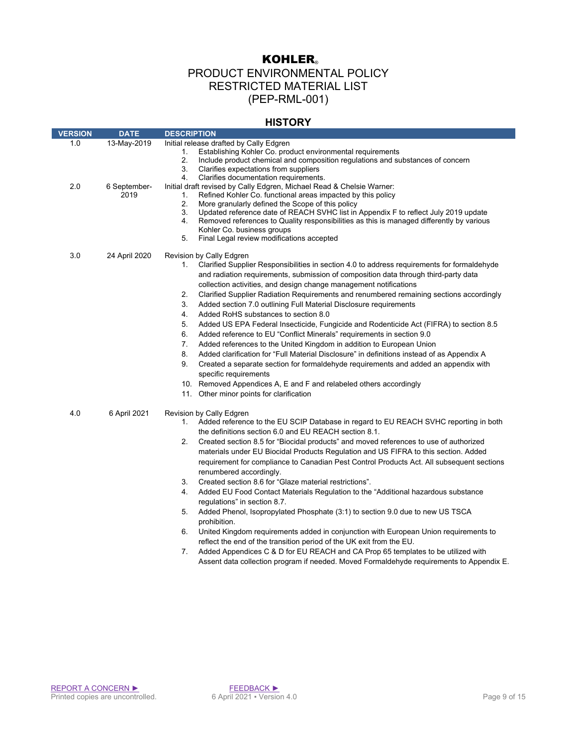# PRODUCT ENVIRONMENTAL POLICY RESTRICTED MATERIAL LIST (PEP-RML-001)

### **HISTORY**

| <b>VERSION</b> | <b>DATE</b>   | <b>DESCRIPTION</b>                                                                                                                                                                                                                                                                                                                                                                                                                                                                                                                                                                                                                                                                                                                                                                                                                                                                                                                                                                                                                                                                                                                                           |
|----------------|---------------|--------------------------------------------------------------------------------------------------------------------------------------------------------------------------------------------------------------------------------------------------------------------------------------------------------------------------------------------------------------------------------------------------------------------------------------------------------------------------------------------------------------------------------------------------------------------------------------------------------------------------------------------------------------------------------------------------------------------------------------------------------------------------------------------------------------------------------------------------------------------------------------------------------------------------------------------------------------------------------------------------------------------------------------------------------------------------------------------------------------------------------------------------------------|
| 1.0            | 13-May-2019   | Initial release drafted by Cally Edgren                                                                                                                                                                                                                                                                                                                                                                                                                                                                                                                                                                                                                                                                                                                                                                                                                                                                                                                                                                                                                                                                                                                      |
| 2.0            | 6 September-  | Establishing Kohler Co. product environmental requirements<br>1.<br>2.<br>Include product chemical and composition regulations and substances of concern<br>3.<br>Clarifies expectations from suppliers<br>4.<br>Clarifies documentation requirements.<br>Initial draft revised by Cally Edgren, Michael Read & Chelsie Warner:                                                                                                                                                                                                                                                                                                                                                                                                                                                                                                                                                                                                                                                                                                                                                                                                                              |
|                | 2019          | 1.<br>Refined Kohler Co. functional areas impacted by this policy<br>2.<br>More granularly defined the Scope of this policy<br>Updated reference date of REACH SVHC list in Appendix F to reflect July 2019 update<br>3.<br>Removed references to Quality responsibilities as this is managed differently by various<br>4.<br>Kohler Co. business groups<br>5.<br>Final Legal review modifications accepted                                                                                                                                                                                                                                                                                                                                                                                                                                                                                                                                                                                                                                                                                                                                                  |
| 3.0            | 24 April 2020 | Revision by Cally Edgren<br>Clarified Supplier Responsibilities in section 4.0 to address requirements for formaldehyde<br>1.<br>and radiation requirements, submission of composition data through third-party data<br>collection activities, and design change management notifications<br>Clarified Supplier Radiation Requirements and renumbered remaining sections accordingly<br>2.<br>3.<br>Added section 7.0 outlining Full Material Disclosure requirements<br>4.<br>Added RoHS substances to section 8.0<br>5.<br>Added US EPA Federal Insecticide, Fungicide and Rodenticide Act (FIFRA) to section 8.5<br>6.<br>Added reference to EU "Conflict Minerals" requirements in section 9.0<br>7.<br>Added references to the United Kingdom in addition to European Union<br>8.<br>Added clarification for "Full Material Disclosure" in definitions instead of as Appendix A<br>9.<br>Created a separate section for formaldehyde requirements and added an appendix with<br>specific requirements<br>10. Removed Appendices A, E and F and relabeled others accordingly<br>11. Other minor points for clarification                                 |
| 4.0            | 6 April 2021  | Revision by Cally Edgren<br>Added reference to the EU SCIP Database in regard to EU REACH SVHC reporting in both<br>1.<br>the definitions section 6.0 and EU REACH section 8.1.<br>2.<br>Created section 8.5 for "Biocidal products" and moved references to use of authorized<br>materials under EU Biocidal Products Regulation and US FIFRA to this section. Added<br>requirement for compliance to Canadian Pest Control Products Act. All subsequent sections<br>renumbered accordingly.<br>Created section 8.6 for "Glaze material restrictions".<br>3.<br>Added EU Food Contact Materials Regulation to the "Additional hazardous substance"<br>4.<br>regulations" in section 8.7.<br>Added Phenol, Isopropylated Phosphate (3:1) to section 9.0 due to new US TSCA<br>5.<br>prohibition.<br>United Kingdom requirements added in conjunction with European Union requirements to<br>6.<br>reflect the end of the transition period of the UK exit from the EU.<br>Added Appendices C & D for EU REACH and CA Prop 65 templates to be utilized with<br>7.<br>Assent data collection program if needed. Moved Formaldehyde requirements to Appendix E. |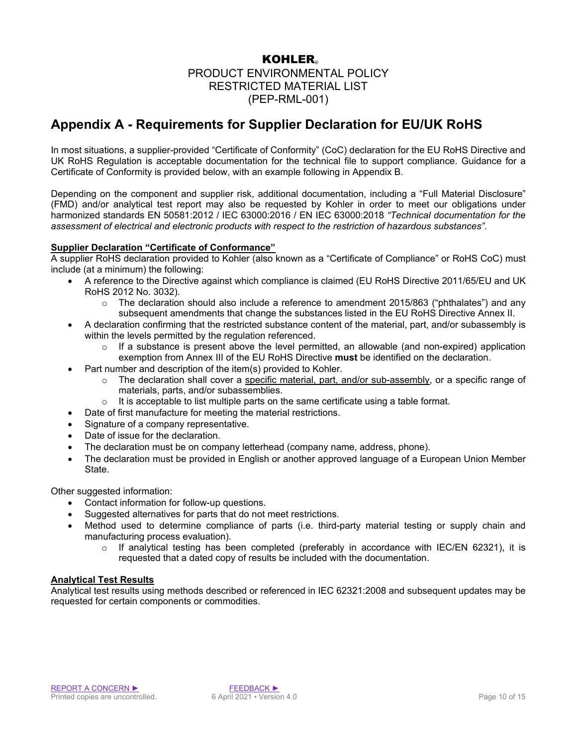(PEP-RML-001)

# **Appendix A - Requirements for Supplier Declaration for EU/UK RoHS**

In most situations, a supplier-provided "Certificate of Conformity" (CoC) declaration for the EU RoHS Directive and UK RoHS Regulation is acceptable documentation for the technical file to support compliance. Guidance for a Certificate of Conformity is provided below, with an example following in Appendix B.

Depending on the component and supplier risk, additional documentation, including a "Full Material Disclosure" (FMD) and/or analytical test report may also be requested by Kohler in order to meet our obligations under harmonized standards EN 50581:2012 / IEC 63000:2016 / EN IEC 63000:2018 *"Technical documentation for the assessment of electrical and electronic products with respect to the restriction of hazardous substances"*.

#### **Supplier Declaration "Certificate of Conformance"**

A supplier RoHS declaration provided to Kohler (also known as a "Certificate of Compliance" or RoHS CoC) must include (at a minimum) the following:

- A reference to the Directive against which compliance is claimed (EU RoHS Directive 2011/65/EU and UK RoHS 2012 No. 3032).
	- $\circ$  The declaration should also include a reference to amendment 2015/863 ("phthalates") and any subsequent amendments that change the substances listed in the EU RoHS Directive Annex II.
- A declaration confirming that the restricted substance content of the material, part, and/or subassembly is within the levels permitted by the regulation referenced.
	- o If a substance is present above the level permitted, an allowable (and non-expired) application exemption from Annex III of the EU RoHS Directive **must** be identified on the declaration.
- Part number and description of the item(s) provided to Kohler.
	- $\circ$  The declaration shall cover a specific material, part, and/or sub-assembly, or a specific range of materials, parts, and/or subassemblies.
	- $\circ$  It is acceptable to list multiple parts on the same certificate using a table format.
	- Date of first manufacture for meeting the material restrictions.
- Signature of a company representative.
- Date of issue for the declaration.
- The declaration must be on company letterhead (company name, address, phone).
- The declaration must be provided in English or another approved language of a European Union Member State.

Other suggested information:

- Contact information for follow-up questions.
- Suggested alternatives for parts that do not meet restrictions.
- Method used to determine compliance of parts (i.e. third-party material testing or supply chain and manufacturing process evaluation).
	- $\circ$  If analytical testing has been completed (preferably in accordance with IEC/EN 62321), it is requested that a dated copy of results be included with the documentation.

#### **Analytical Test Results**

Analytical test results using methods described or referenced in IEC 62321:2008 and subsequent updates may be requested for certain components or commodities.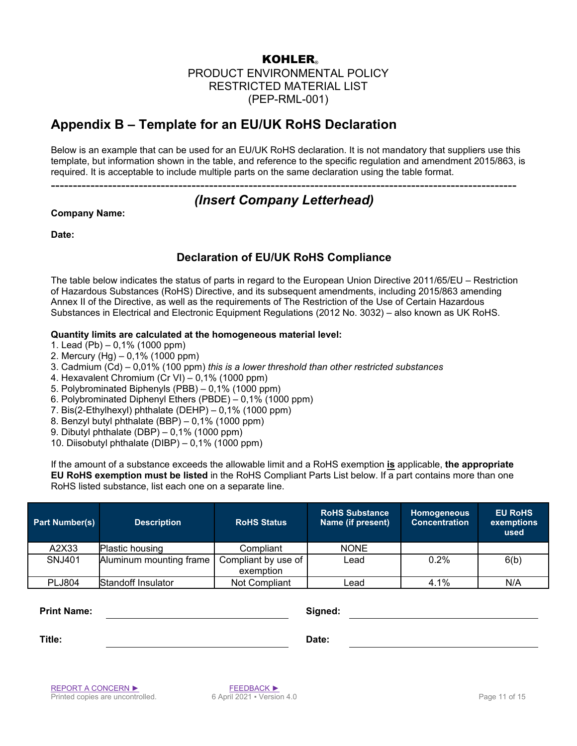# **Appendix B – Template for an EU/UK RoHS Declaration**

Below is an example that can be used for an EU/UK RoHS declaration. It is not mandatory that suppliers use this template, but information shown in the table, and reference to the specific regulation and amendment 2015/863, is required. It is acceptable to include multiple parts on the same declaration using the table format.

# ---------------------------------------------------------------------------------------------------------- *(Insert Company Letterhead)*

### **Company Name:**

**Date:**

# **Declaration of EU/UK RoHS Compliance**

The table below indicates the status of parts in regard to the European Union Directive 2011/65/EU – Restriction of Hazardous Substances (RoHS) Directive, and its subsequent amendments, including 2015/863 amending Annex II of the Directive, as well as the requirements of The Restriction of the Use of Certain Hazardous Substances in Electrical and Electronic Equipment Regulations (2012 No. 3032) – also known as UK RoHS.

#### **Quantity limits are calculated at the homogeneous material level:**

- 1. Lead (Pb) 0,1% (1000 ppm)
- 2. Mercury (Hg) 0,1% (1000 ppm)
- 3. Cadmium (Cd) 0,01% (100 ppm) *this is a lower threshold than other restricted substances*
- 4. Hexavalent Chromium (Cr VI) 0,1% (1000 ppm)
- 5. Polybrominated Biphenyls (PBB) 0,1% (1000 ppm)
- 6. Polybrominated Diphenyl Ethers (PBDE) 0,1% (1000 ppm)
- 7. Bis(2-Ethylhexyl) phthalate (DEHP) 0,1% (1000 ppm)
- 8. Benzyl butyl phthalate (BBP) 0,1% (1000 ppm)
- 9. Dibutyl phthalate (DBP) 0,1% (1000 ppm)
- 10. Diisobutyl phthalate (DIBP) 0,1% (1000 ppm)

If the amount of a substance exceeds the allowable limit and a RoHS exemption **is** applicable, **the appropriate EU RoHS exemption must be listed** in the RoHS Compliant Parts List below. If a part contains more than one RoHS listed substance, list each one on a separate line.

| <b>Part Number(s)</b> | <b>Description</b>      | <b>RoHS Status</b>               | <b>RoHS Substance</b><br>Name (if present) | <b>Homogeneous</b><br><b>Concentration</b> | <b>EU RoHS</b><br>exemptions<br>used |
|-----------------------|-------------------------|----------------------------------|--------------------------------------------|--------------------------------------------|--------------------------------------|
| A2X33                 | <b>Plastic housing</b>  | Compliant                        | <b>NONE</b>                                |                                            |                                      |
| SNJ401                | Aluminum mounting frame | Compliant by use of<br>exemption | Lead                                       | 0.2%                                       | 6(b)                                 |
| <b>PLJ804</b>         | Standoff Insulator      | Not Compliant                    | Lead                                       | 4.1%                                       | N/A                                  |

| <b>Print Name:</b> | Signed: |
|--------------------|---------|
| Title:             | Date:   |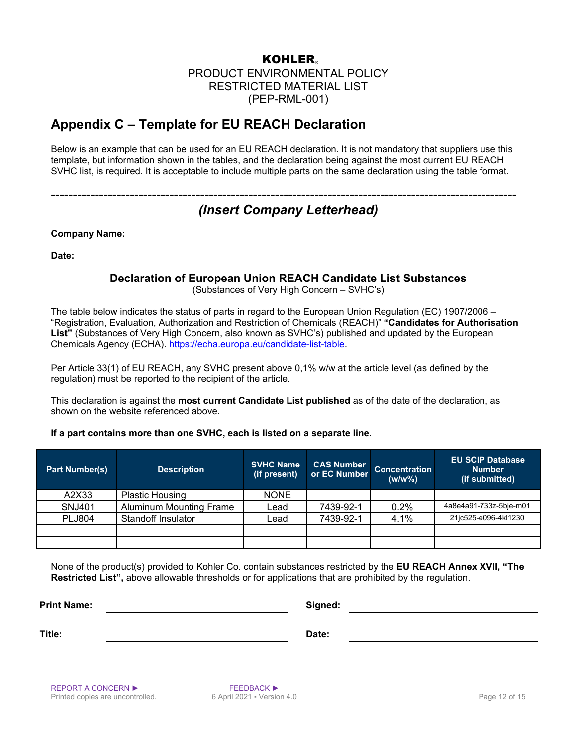PRODUCT ENVIRONMENTAL POLICY RESTRICTED MATERIAL LIST (PEP-RML-001)

# **Appendix C – Template for EU REACH Declaration**

Below is an example that can be used for an EU REACH declaration. It is not mandatory that suppliers use this template, but information shown in the tables, and the declaration being against the most current EU REACH SVHC list, is required. It is acceptable to include multiple parts on the same declaration using the table format.

----------------------------------------------------------------------------------------------------------

# *(Insert Company Letterhead)*

**Company Name:**

**Date:**

## **Declaration of European Union REACH Candidate List Substances**

(Substances of Very High Concern – SVHC's)

The table below indicates the status of parts in regard to the European Union Regulation (EC) 1907/2006 – "Registration, Evaluation, Authorization and Restriction of Chemicals (REACH)" **"Candidates for Authorisation List"** (Substances of Very High Concern, also known as SVHC's) published and updated by the European Chemicals Agency (ECHA). [https://echa.europa.eu/candidate-list-table.](https://echa.europa.eu/candidate-list-table)

Per Article 33(1) of EU REACH, any SVHC present above 0,1% w/w at the article level (as defined by the regulation) must be reported to the recipient of the article.

This declaration is against the **most current Candidate List published** as of the date of the declaration, as shown on the website referenced above.

#### **If a part contains more than one SVHC, each is listed on a separate line.**

| <b>Part Number(s)</b> | <b>Description</b>             | <b>SVHC Name</b><br>(if present) | <b>CAS Number</b><br>or EC Number | <b>Concentration</b><br>$(w/w\%)$ | <b>EU SCIP Database</b><br><b>Number</b><br>(if submitted) |
|-----------------------|--------------------------------|----------------------------------|-----------------------------------|-----------------------------------|------------------------------------------------------------|
| A2X33                 | <b>Plastic Housing</b>         | <b>NONE</b>                      |                                   |                                   |                                                            |
| SNJ401                | <b>Aluminum Mounting Frame</b> | Lead                             | 7439-92-1                         | 0.2%                              | 4a8e4a91-733z-5bje-m01                                     |
| <b>PLJ804</b>         | <b>Standoff Insulator</b>      | Lead                             | 7439-92-1                         | 4.1%                              | 21jc525-e096-4kl1230                                       |
|                       |                                |                                  |                                   |                                   |                                                            |
|                       |                                |                                  |                                   |                                   |                                                            |

None of the product(s) provided to Kohler Co. contain substances restricted by the **EU REACH Annex XVII, "The Restricted List",** above allowable thresholds or for applications that are prohibited by the regulation.

| <b>Print Name:</b> | Signed: |  |
|--------------------|---------|--|
| Title:             | Date:   |  |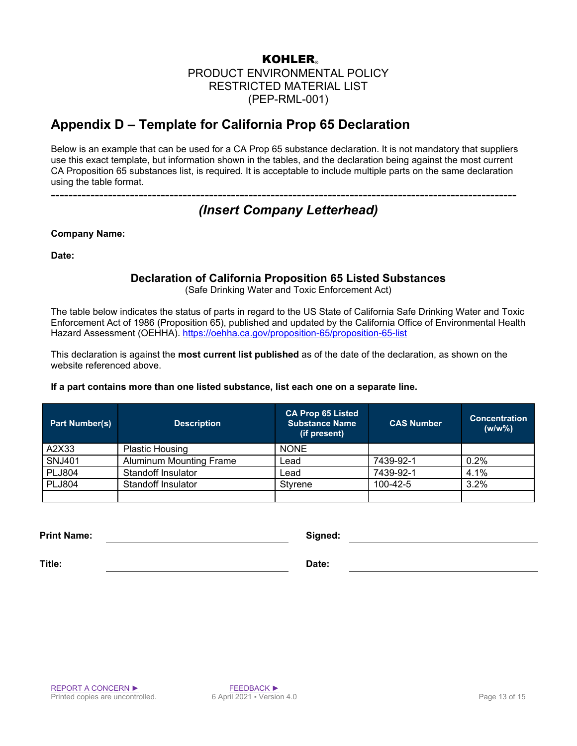# **Appendix D – Template for California Prop 65 Declaration**

Below is an example that can be used for a CA Prop 65 substance declaration. It is not mandatory that suppliers use this exact template, but information shown in the tables, and the declaration being against the most current CA Proposition 65 substances list, is required. It is acceptable to include multiple parts on the same declaration using the table format.

----------------------------------------------------------------------------------------------------------

# *(Insert Company Letterhead)*

**Company Name:**

**Date:**

# **Declaration of California Proposition 65 Listed Substances**

(Safe Drinking Water and Toxic Enforcement Act)

The table below indicates the status of parts in regard to the US State of California Safe Drinking Water and Toxic Enforcement Act of 1986 (Proposition 65), published and updated by the California Office of Environmental Health Hazard Assessment (OEHHA).<https://oehha.ca.gov/proposition-65/proposition-65-list>

This declaration is against the **most current list published** as of the date of the declaration, as shown on the website referenced above.

### **If a part contains more than one listed substance, list each one on a separate line.**

| <b>Part Number(s)</b> | <b>Description</b>             | <b>CA Prop 65 Listed</b><br><b>Substance Name</b><br>(if present) | <b>CAS Number</b> | <b>Concentration</b><br>$(w/w\%)$ |
|-----------------------|--------------------------------|-------------------------------------------------------------------|-------------------|-----------------------------------|
| A2X33                 | <b>Plastic Housing</b>         | <b>NONE</b>                                                       |                   |                                   |
| <b>SNJ401</b>         | <b>Aluminum Mounting Frame</b> | Lead                                                              | 7439-92-1         | 0.2%                              |
| <b>PLJ804</b>         | <b>Standoff Insulator</b>      | Lead                                                              | 7439-92-1         | 4.1%                              |
| <b>PLJ804</b>         | Standoff Insulator             | Styrene                                                           | 100-42-5          | 3.2%                              |
|                       |                                |                                                                   |                   |                                   |

**Print Name: Signed:**

**Title: Date:**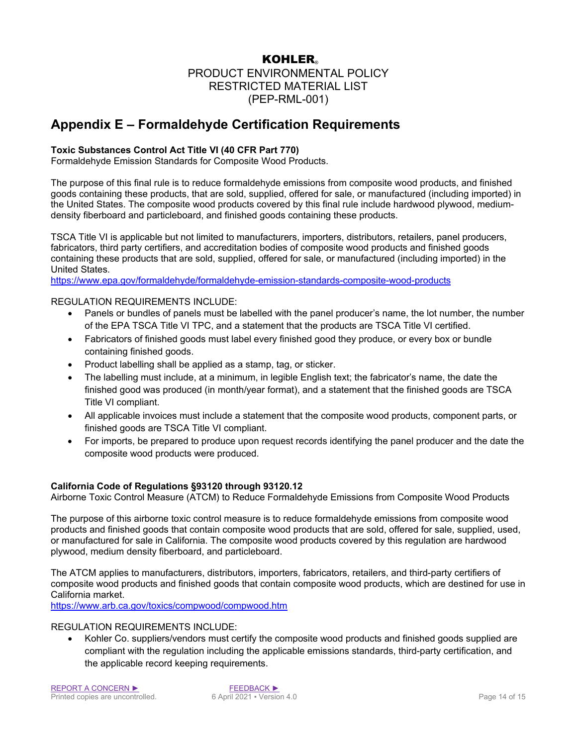PRODUCT ENVIRONMENTAL POLICY RESTRICTED MATERIAL LIST (PEP-RML-001)

# **Appendix E – Formaldehyde Certification Requirements**

### **Toxic Substances Control Act Title VI (40 CFR Part 770)**

Formaldehyde Emission Standards for Composite Wood Products.

The purpose of this final rule is to reduce formaldehyde emissions from composite wood products, and finished goods containing these products, that are sold, supplied, offered for sale, or manufactured (including imported) in the United States. The composite wood products covered by this final rule include hardwood plywood, mediumdensity fiberboard and particleboard, and finished goods containing these products.

TSCA Title VI is applicable but not limited to manufacturers, importers, distributors, retailers, panel producers, fabricators, third party certifiers, and accreditation bodies of composite wood products and finished goods containing these products that are sold, supplied, offered for sale, or manufactured (including imported) in the United States.

<https://www.epa.gov/formaldehyde/formaldehyde-emission-standards-composite-wood-products>

REGULATION REQUIREMENTS INCLUDE:

- Panels or bundles of panels must be labelled with the panel producer's name, the lot number, the number of the EPA TSCA Title VI TPC, and a statement that the products are TSCA Title VI certified.
- Fabricators of finished goods must label every finished good they produce, or every box or bundle containing finished goods.
- Product labelling shall be applied as a stamp, tag, or sticker.
- The labelling must include, at a minimum, in legible English text; the fabricator's name, the date the finished good was produced (in month/year format), and a statement that the finished goods are TSCA Title VI compliant.
- All applicable invoices must include a statement that the composite wood products, component parts, or finished goods are TSCA Title VI compliant.
- For imports, be prepared to produce upon request records identifying the panel producer and the date the composite wood products were produced.

### **California Code of Regulations §93120 through 93120.12**

Airborne Toxic Control Measure (ATCM) to Reduce Formaldehyde Emissions from Composite Wood Products

The purpose of this airborne toxic control measure is to reduce formaldehyde emissions from composite wood products and finished goods that contain composite wood products that are sold, offered for sale, supplied, used, or manufactured for sale in California. The composite wood products covered by this regulation are hardwood plywood, medium density fiberboard, and particleboard.

The ATCM applies to manufacturers, distributors, importers, fabricators, retailers, and third-party certifiers of composite wood products and finished goods that contain composite wood products, which are destined for use in California market.

<https://www.arb.ca.gov/toxics/compwood/compwood.htm>

#### REGULATION REQUIREMENTS INCLUDE:

• Kohler Co. suppliers/vendors must certify the composite wood products and finished goods supplied are compliant with the regulation including the applicable emissions standards, third-party certification, and the applicable record keeping requirements.